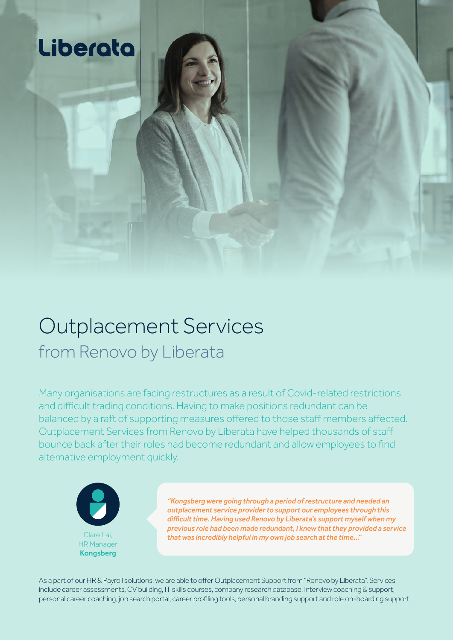

## Outplacement Services from Renovo by Liberata

Many organisations are facing restructures as a result of Covid-related restrictions and difficult trading conditions. Having to make positions redundant can be balanced by a raft of supporting measures offered to those staff members affected. Outplacement Services from Renovo by Liberata have helped thousands of staff bounce back after their roles had become redundant and allow employees to find alternative employment quickly.



*"Kongsberg were going through a period of restructure and needed an outplacement service provider to support our employees through this difficult time. Having used Renovo by Liberata's support myself when my previous role had been made redundant, I knew that they provided a service* Clare Lai, *that was incredibly helpful in my own job search at the time..."* HR Manager

As a part of our HR & Payroll solutions, we are able to offer Outplacement Support from "Renovo by Liberata". Services include career assessments, CV building, IT skills courses, company research database, interview coaching & support, personal career coaching, job search portal, career profiling tools, personal branding support and role on-boarding support.